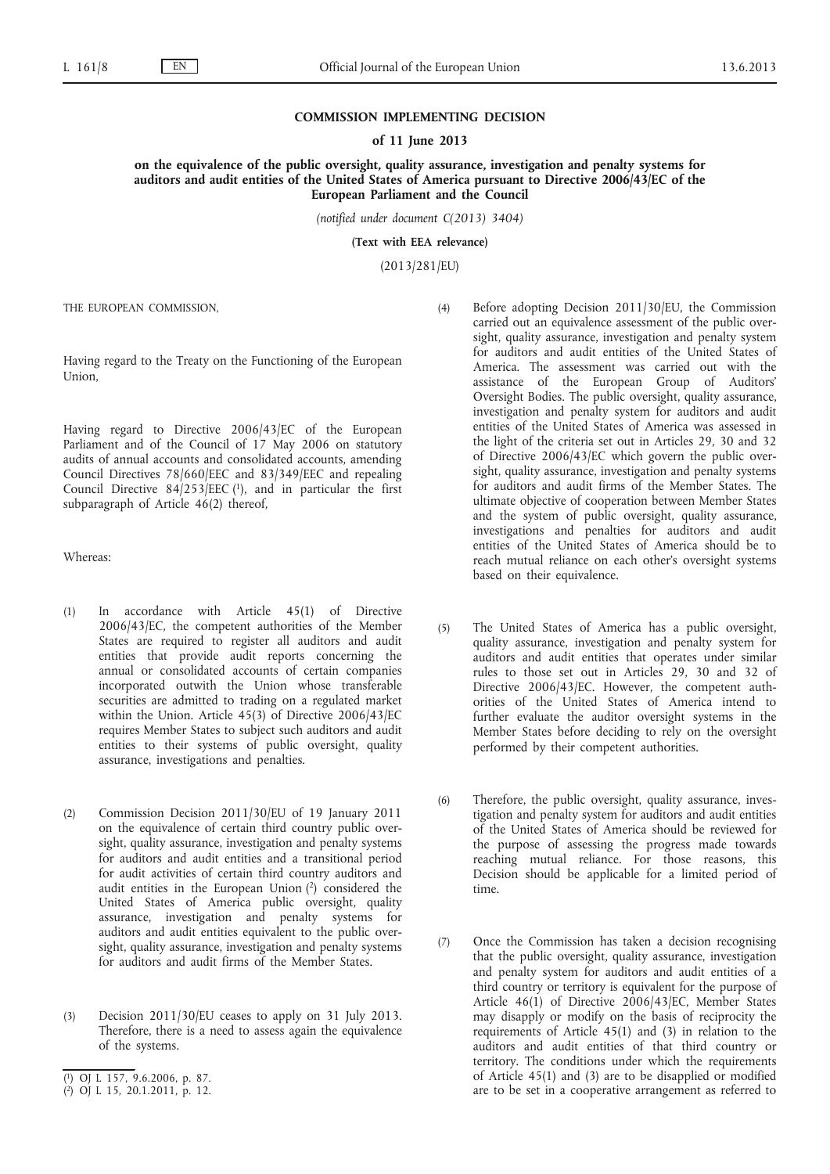## **COMMISSION IMPLEMENTING DECISION**

#### **of 11 June 2013**

**on the equivalence of the public oversight, quality assurance, investigation and penalty systems for auditors and audit entities of the United States of America pursuant to Directive 2006/43/EC of the European Parliament and the Council**

*(notified under document C(2013) 3404)*

**(Text with EEA relevance)**

(2013/281/EU)

THE EUROPEAN COMMISSION,

Having regard to the Treaty on the Functioning of the European Union,

Having regard to Directive 2006/43/EC of the European Parliament and of the Council of 17 May 2006 on statutory audits of annual accounts and consolidated accounts, amending Council Directives 78/660/EEC and 83/349/EEC and repealing Council Directive  $84/253/EEC$  (1), and in particular the first subparagraph of Article 46(2) thereof,

Whereas:

- (1) In accordance with Article 45(1) of Directive 2006/43/EC, the competent authorities of the Member States are required to register all auditors and audit entities that provide audit reports concerning the annual or consolidated accounts of certain companies incorporated outwith the Union whose transferable securities are admitted to trading on a regulated market within the Union. Article 45(3) of Directive 2006/43/EC requires Member States to subject such auditors and audit entities to their systems of public oversight, quality assurance, investigations and penalties.
- (2) Commission Decision 2011/30/EU of 19 January 2011 on the equivalence of certain third country public oversight, quality assurance, investigation and penalty systems for auditors and audit entities and a transitional period for audit activities of certain third country auditors and audit entities in the European Union  $(2)$  considered the United States of America public oversight, quality assurance, investigation and penalty systems for auditors and audit entities equivalent to the public oversight, quality assurance, investigation and penalty systems for auditors and audit firms of the Member States.
- (3) Decision 2011/30/EU ceases to apply on 31 July 2013. Therefore, there is a need to assess again the equivalence of the systems.
- (4) Before adopting Decision 2011/30/EU, the Commission carried out an equivalence assessment of the public oversight, quality assurance, investigation and penalty system for auditors and audit entities of the United States of America. The assessment was carried out with the assistance of the European Group of Auditors' Oversight Bodies. The public oversight, quality assurance, investigation and penalty system for auditors and audit entities of the United States of America was assessed in the light of the criteria set out in Articles 29, 30 and 32 of Directive 2006/43/EC which govern the public oversight, quality assurance, investigation and penalty systems for auditors and audit firms of the Member States. The ultimate objective of cooperation between Member States and the system of public oversight, quality assurance, investigations and penalties for auditors and audit entities of the United States of America should be to reach mutual reliance on each other's oversight systems based on their equivalence.
- (5) The United States of America has a public oversight, quality assurance, investigation and penalty system for auditors and audit entities that operates under similar rules to those set out in Articles 29, 30 and 32 of Directive 2006/43/EC. However, the competent authorities of the United States of America intend to further evaluate the auditor oversight systems in the Member States before deciding to rely on the oversight performed by their competent authorities.
- (6) Therefore, the public oversight, quality assurance, investigation and penalty system for auditors and audit entities of the United States of America should be reviewed for the purpose of assessing the progress made towards reaching mutual reliance. For those reasons, this Decision should be applicable for a limited period of time.
- (7) Once the Commission has taken a decision recognising that the public oversight, quality assurance, investigation and penalty system for auditors and audit entities of a third country or territory is equivalent for the purpose of Article 46(1) of Directive 2006/43/EC, Member States may disapply or modify on the basis of reciprocity the requirements of Article 45(1) and (3) in relation to the auditors and audit entities of that third country or territory. The conditions under which the requirements of Article 45(1) and (3) are to be disapplied or modified are to be set in a cooperative arrangement as referred to

<sup>(</sup> 1) OJ L 157, 9.6.2006, p. 87.

<sup>(</sup> 2) OJ L 15, 20.1.2011, p. 12.